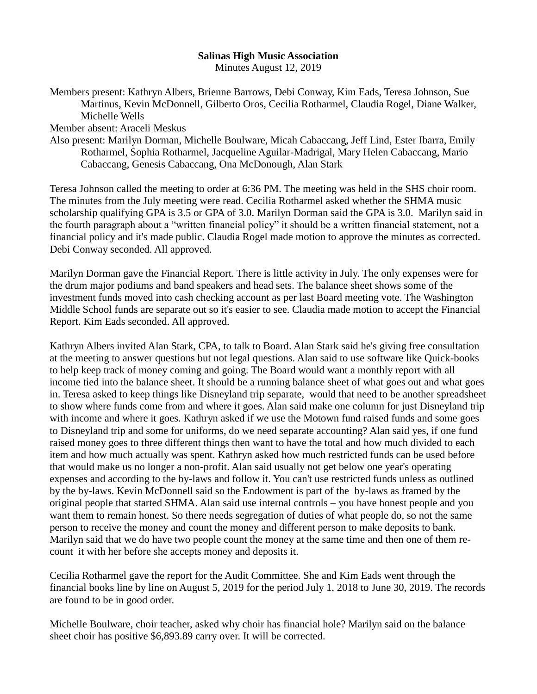## **Salinas High Music Association**

Minutes August 12, 2019

Members present: Kathryn Albers, Brienne Barrows, Debi Conway, Kim Eads, Teresa Johnson, Sue Martinus, Kevin McDonnell, Gilberto Oros, Cecilia Rotharmel, Claudia Rogel, Diane Walker, Michelle Wells

Member absent: Araceli Meskus

Also present: Marilyn Dorman, Michelle Boulware, Micah Cabaccang, Jeff Lind, Ester Ibarra, Emily Rotharmel, Sophia Rotharmel, Jacqueline Aguilar-Madrigal, Mary Helen Cabaccang, Mario Cabaccang, Genesis Cabaccang, Ona McDonough, Alan Stark

Teresa Johnson called the meeting to order at 6:36 PM. The meeting was held in the SHS choir room. The minutes from the July meeting were read. Cecilia Rotharmel asked whether the SHMA music scholarship qualifying GPA is 3.5 or GPA of 3.0. Marilyn Dorman said the GPA is 3.0. Marilyn said in the fourth paragraph about a "written financial policy" it should be a written financial statement, not a financial policy and it's made public. Claudia Rogel made motion to approve the minutes as corrected. Debi Conway seconded. All approved.

Marilyn Dorman gave the Financial Report. There is little activity in July. The only expenses were for the drum major podiums and band speakers and head sets. The balance sheet shows some of the investment funds moved into cash checking account as per last Board meeting vote. The Washington Middle School funds are separate out so it's easier to see. Claudia made motion to accept the Financial Report. Kim Eads seconded. All approved.

Kathryn Albers invited Alan Stark, CPA, to talk to Board. Alan Stark said he's giving free consultation at the meeting to answer questions but not legal questions. Alan said to use software like Quick-books to help keep track of money coming and going. The Board would want a monthly report with all income tied into the balance sheet. It should be a running balance sheet of what goes out and what goes in. Teresa asked to keep things like Disneyland trip separate, would that need to be another spreadsheet to show where funds come from and where it goes. Alan said make one column for just Disneyland trip with income and where it goes. Kathryn asked if we use the Motown fund raised funds and some goes to Disneyland trip and some for uniforms, do we need separate accounting? Alan said yes, if one fund raised money goes to three different things then want to have the total and how much divided to each item and how much actually was spent. Kathryn asked how much restricted funds can be used before that would make us no longer a non-profit. Alan said usually not get below one year's operating expenses and according to the by-laws and follow it. You can't use restricted funds unless as outlined by the by-laws. Kevin McDonnell said so the Endowment is part of the by-laws as framed by the original people that started SHMA. Alan said use internal controls – you have honest people and you want them to remain honest. So there needs segregation of duties of what people do, so not the same person to receive the money and count the money and different person to make deposits to bank. Marilyn said that we do have two people count the money at the same time and then one of them recount it with her before she accepts money and deposits it.

Cecilia Rotharmel gave the report for the Audit Committee. She and Kim Eads went through the financial books line by line on August 5, 2019 for the period July 1, 2018 to June 30, 2019. The records are found to be in good order.

Michelle Boulware, choir teacher, asked why choir has financial hole? Marilyn said on the balance sheet choir has positive \$6,893.89 carry over. It will be corrected.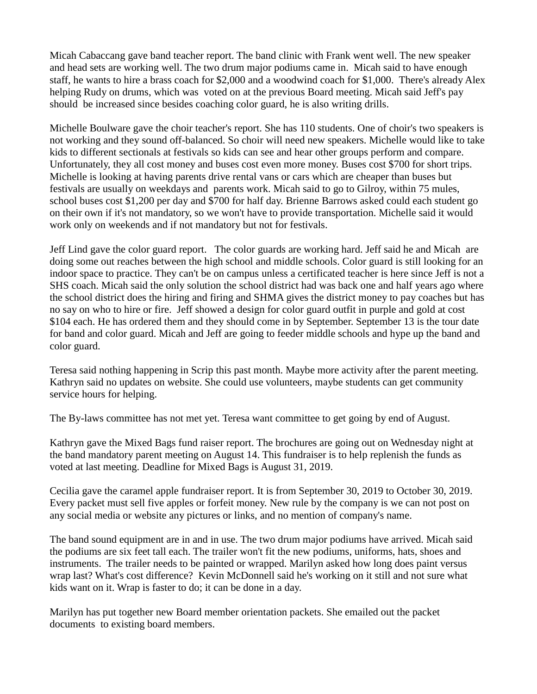Micah Cabaccang gave band teacher report. The band clinic with Frank went well. The new speaker and head sets are working well. The two drum major podiums came in. Micah said to have enough staff, he wants to hire a brass coach for \$2,000 and a woodwind coach for \$1,000. There's already Alex helping Rudy on drums, which was voted on at the previous Board meeting. Micah said Jeff's pay should be increased since besides coaching color guard, he is also writing drills.

Michelle Boulware gave the choir teacher's report. She has 110 students. One of choir's two speakers is not working and they sound off-balanced. So choir will need new speakers. Michelle would like to take kids to different sectionals at festivals so kids can see and hear other groups perform and compare. Unfortunately, they all cost money and buses cost even more money. Buses cost \$700 for short trips. Michelle is looking at having parents drive rental vans or cars which are cheaper than buses but festivals are usually on weekdays and parents work. Micah said to go to Gilroy, within 75 mules, school buses cost \$1,200 per day and \$700 for half day. Brienne Barrows asked could each student go on their own if it's not mandatory, so we won't have to provide transportation. Michelle said it would work only on weekends and if not mandatory but not for festivals.

Jeff Lind gave the color guard report. The color guards are working hard. Jeff said he and Micah are doing some out reaches between the high school and middle schools. Color guard is still looking for an indoor space to practice. They can't be on campus unless a certificated teacher is here since Jeff is not a SHS coach. Micah said the only solution the school district had was back one and half years ago where the school district does the hiring and firing and SHMA gives the district money to pay coaches but has no say on who to hire or fire. Jeff showed a design for color guard outfit in purple and gold at cost \$104 each. He has ordered them and they should come in by September. September 13 is the tour date for band and color guard. Micah and Jeff are going to feeder middle schools and hype up the band and color guard.

Teresa said nothing happening in Scrip this past month. Maybe more activity after the parent meeting. Kathryn said no updates on website. She could use volunteers, maybe students can get community service hours for helping.

The By-laws committee has not met yet. Teresa want committee to get going by end of August.

Kathryn gave the Mixed Bags fund raiser report. The brochures are going out on Wednesday night at the band mandatory parent meeting on August 14. This fundraiser is to help replenish the funds as voted at last meeting. Deadline for Mixed Bags is August 31, 2019.

Cecilia gave the caramel apple fundraiser report. It is from September 30, 2019 to October 30, 2019. Every packet must sell five apples or forfeit money. New rule by the company is we can not post on any social media or website any pictures or links, and no mention of company's name.

The band sound equipment are in and in use. The two drum major podiums have arrived. Micah said the podiums are six feet tall each. The trailer won't fit the new podiums, uniforms, hats, shoes and instruments. The trailer needs to be painted or wrapped. Marilyn asked how long does paint versus wrap last? What's cost difference? Kevin McDonnell said he's working on it still and not sure what kids want on it. Wrap is faster to do; it can be done in a day.

Marilyn has put together new Board member orientation packets. She emailed out the packet documents to existing board members.